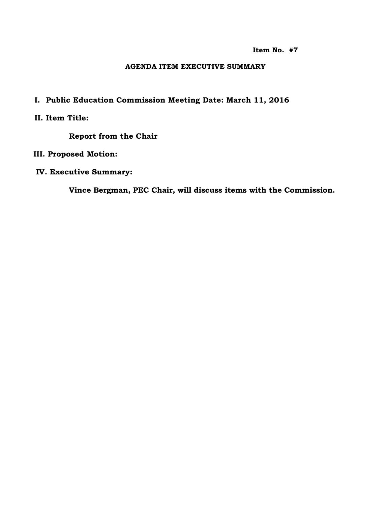**Item No. #7**

#### **AGENDA ITEM EXECUTIVE SUMMARY**

# **I. Public Education Commission Meeting Date: March 11, 2016**

## **II. Item Title:**

**Report from the Chair**

### **III. Proposed Motion:**

### **IV. Executive Summary:**

**Vince Bergman, PEC Chair, will discuss items with the Commission.**